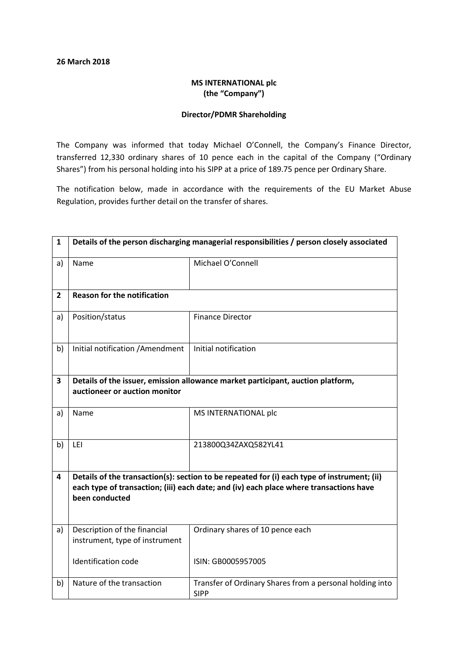## MS INTERNATIONAL plc (the "Company")

## Director/PDMR Shareholding

The Company was informed that today Michael O'Connell, the Company's Finance Director, transferred 12,330 ordinary shares of 10 pence each in the capital of the Company ("Ordinary Shares") from his personal holding into his SIPP at a price of 189.75 pence per Ordinary Share.

The notification below, made in accordance with the requirements of the EU Market Abuse Regulation, provides further detail on the transfer of shares.

| $\mathbf{1}$ | Details of the person discharging managerial responsibilities / person closely associated                                                                                                               |                                                                         |  |
|--------------|---------------------------------------------------------------------------------------------------------------------------------------------------------------------------------------------------------|-------------------------------------------------------------------------|--|
| a)           | Name                                                                                                                                                                                                    | Michael O'Connell                                                       |  |
| $\mathbf{2}$ | <b>Reason for the notification</b>                                                                                                                                                                      |                                                                         |  |
| a)           | Position/status                                                                                                                                                                                         | <b>Finance Director</b>                                                 |  |
| b)           | Initial notification / Amendment                                                                                                                                                                        | Initial notification                                                    |  |
| 3            | Details of the issuer, emission allowance market participant, auction platform,<br>auctioneer or auction monitor                                                                                        |                                                                         |  |
| a)           | Name                                                                                                                                                                                                    | MS INTERNATIONAL plc                                                    |  |
| b)           | LEI                                                                                                                                                                                                     | 213800Q34ZAXQ582YL41                                                    |  |
| 4            | Details of the transaction(s): section to be repeated for (i) each type of instrument; (ii)<br>each type of transaction; (iii) each date; and (iv) each place where transactions have<br>been conducted |                                                                         |  |
| a)           | Description of the financial<br>instrument, type of instrument                                                                                                                                          | Ordinary shares of 10 pence each                                        |  |
|              | <b>Identification code</b>                                                                                                                                                                              | ISIN: GB0005957005                                                      |  |
| b)           | Nature of the transaction                                                                                                                                                                               | Transfer of Ordinary Shares from a personal holding into<br><b>SIPP</b> |  |